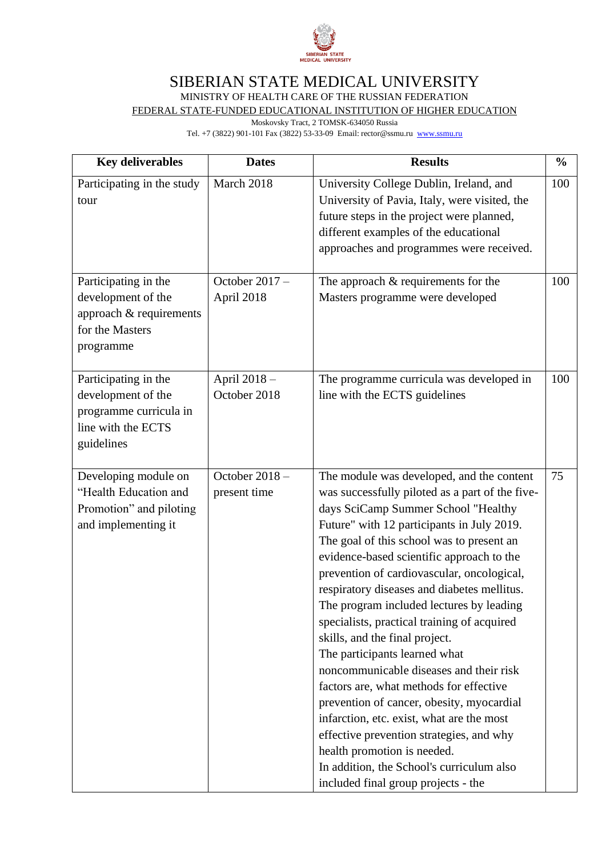

## SIBERIAN STATE MEDICAL UNIVERSITY

MINISTRY OF HEALTH CARE OF THE RUSSIAN FEDERATION

FEDERAL STATE-FUNDED EDUCATIONAL INSTITUTION OF HIGHER EDUCATION

Moskovsky Tract, 2 TOMSK-634050 Russia

Tel. +7 (3822) 901-101 Fax (3822) 53-33-09 Email: rector@ssmu.ru [www.ssmu.ru](http://www.ssmu.ru/)

| <b>Key deliverables</b>                                                                                  | <b>Dates</b>                   | <b>Results</b>                                                                                                                                                                                                                                                                                                                                                                                                                                                                                                                                                                                                                                                                                                                                                                                                                                                                        | $\frac{6}{6}$ |
|----------------------------------------------------------------------------------------------------------|--------------------------------|---------------------------------------------------------------------------------------------------------------------------------------------------------------------------------------------------------------------------------------------------------------------------------------------------------------------------------------------------------------------------------------------------------------------------------------------------------------------------------------------------------------------------------------------------------------------------------------------------------------------------------------------------------------------------------------------------------------------------------------------------------------------------------------------------------------------------------------------------------------------------------------|---------------|
| Participating in the study<br>tour                                                                       | March 2018                     | University College Dublin, Ireland, and<br>University of Pavia, Italy, were visited, the<br>future steps in the project were planned,<br>different examples of the educational<br>approaches and programmes were received.                                                                                                                                                                                                                                                                                                                                                                                                                                                                                                                                                                                                                                                            | 100           |
| Participating in the<br>development of the<br>approach & requirements<br>for the Masters<br>programme    | October $2017 -$<br>April 2018 | The approach $&$ requirements for the<br>Masters programme were developed                                                                                                                                                                                                                                                                                                                                                                                                                                                                                                                                                                                                                                                                                                                                                                                                             | 100           |
| Participating in the<br>development of the<br>programme curricula in<br>line with the ECTS<br>guidelines | April 2018 -<br>October 2018   | The programme curricula was developed in<br>line with the ECTS guidelines                                                                                                                                                                                                                                                                                                                                                                                                                                                                                                                                                                                                                                                                                                                                                                                                             | 100           |
| Developing module on<br>"Health Education and<br>Promotion" and piloting<br>and implementing it          | October 2018-<br>present time  | The module was developed, and the content<br>was successfully piloted as a part of the five-<br>days SciCamp Summer School "Healthy<br>Future" with 12 participants in July 2019.<br>The goal of this school was to present an<br>evidence-based scientific approach to the<br>prevention of cardiovascular, oncological,<br>respiratory diseases and diabetes mellitus.<br>The program included lectures by leading<br>specialists, practical training of acquired<br>skills, and the final project.<br>The participants learned what<br>noncommunicable diseases and their risk<br>factors are, what methods for effective<br>prevention of cancer, obesity, myocardial<br>infarction, etc. exist, what are the most<br>effective prevention strategies, and why<br>health promotion is needed.<br>In addition, the School's curriculum also<br>included final group projects - the | 75            |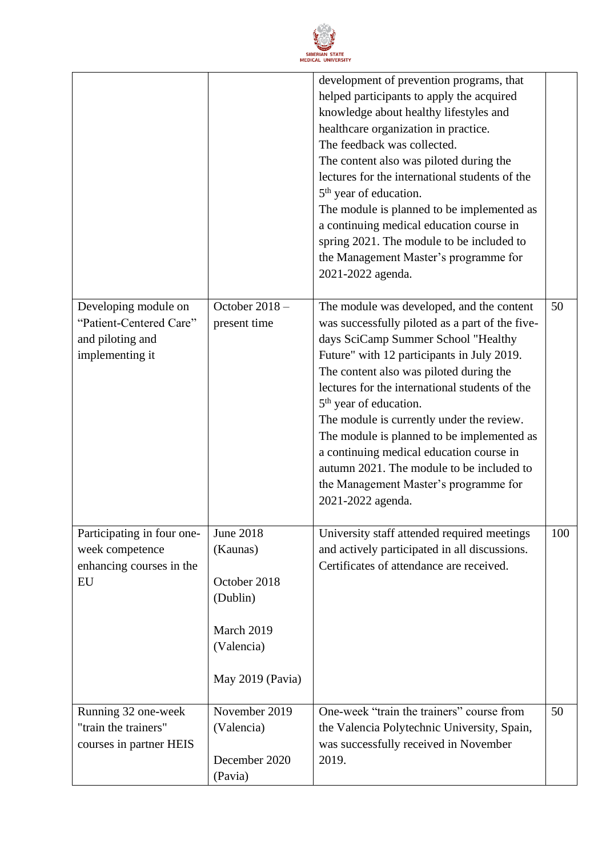

|                                                                                        |                                                                                                          | development of prevention programs, that<br>helped participants to apply the acquired<br>knowledge about healthy lifestyles and<br>healthcare organization in practice.<br>The feedback was collected.<br>The content also was piloted during the<br>lectures for the international students of the<br>5 <sup>th</sup> year of education.<br>The module is planned to be implemented as<br>a continuing medical education course in<br>spring 2021. The module to be included to<br>the Management Master's programme for<br>2021-2022 agenda.                         |     |
|----------------------------------------------------------------------------------------|----------------------------------------------------------------------------------------------------------|------------------------------------------------------------------------------------------------------------------------------------------------------------------------------------------------------------------------------------------------------------------------------------------------------------------------------------------------------------------------------------------------------------------------------------------------------------------------------------------------------------------------------------------------------------------------|-----|
| Developing module on<br>"Patient-Centered Care"<br>and piloting and<br>implementing it | October 2018-<br>present time                                                                            | The module was developed, and the content<br>was successfully piloted as a part of the five-<br>days SciCamp Summer School "Healthy<br>Future" with 12 participants in July 2019.<br>The content also was piloted during the<br>lectures for the international students of the<br>5 <sup>th</sup> year of education.<br>The module is currently under the review.<br>The module is planned to be implemented as<br>a continuing medical education course in<br>autumn 2021. The module to be included to<br>the Management Master's programme for<br>2021-2022 agenda. | 50  |
| Participating in four one-<br>week competence<br>enhancing courses in the<br>EU        | <b>June 2018</b><br>(Kaunas)<br>October 2018<br>(Dublin)<br>March 2019<br>(Valencia)<br>May 2019 (Pavia) | University staff attended required meetings<br>and actively participated in all discussions.<br>Certificates of attendance are received.                                                                                                                                                                                                                                                                                                                                                                                                                               | 100 |
| Running 32 one-week<br>"train the trainers"<br>courses in partner HEIS                 | November 2019<br>(Valencia)<br>December 2020<br>(Pavia)                                                  | One-week "train the trainers" course from<br>the Valencia Polytechnic University, Spain,<br>was successfully received in November<br>2019.                                                                                                                                                                                                                                                                                                                                                                                                                             | 50  |